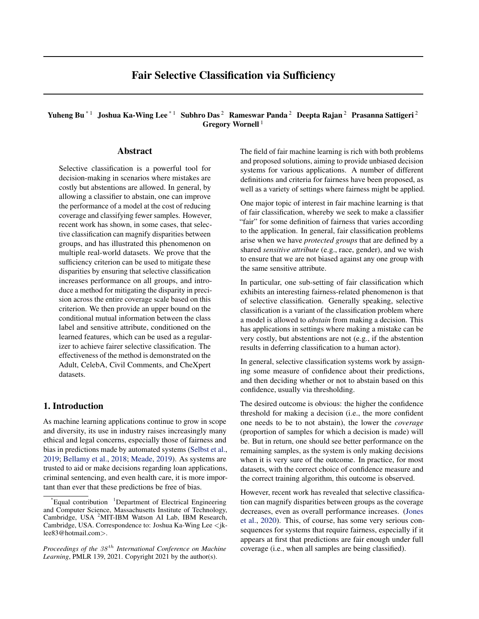# Fair Selective Classification via Sufficiency

# Yuheng Bu<sup>\*1</sup> Joshua Ka-Wing Lee<sup>\*1</sup> Subhro Das<sup>2</sup> Rameswar Panda<sup>2</sup> Deepta Rajan<sup>2</sup> Prasanna Sattigeri<sup>2</sup> Gregory Wornell<sup>1</sup>

## Abstract

Selective classification is a powerful tool for decision-making in scenarios where mistakes are costly but abstentions are allowed. In general, by allowing a classifier to abstain, one can improve the performance of a model at the cost of reducing coverage and classifying fewer samples. However, recent work has shown, in some cases, that selective classification can magnify disparities between groups, and has illustrated this phenomenon on multiple real-world datasets. We prove that the sufficiency criterion can be used to mitigate these disparities by ensuring that selective classification increases performance on all groups, and introduce a method for mitigating the disparity in precision across the entire coverage scale based on this criterion. We then provide an upper bound on the conditional mutual information between the class label and sensitive attribute, conditioned on the learned features, which can be used as a regularizer to achieve fairer selective classification. The effectiveness of the method is demonstrated on the Adult, CelebA, Civil Comments, and CheXpert datasets.

# 1. Introduction

As machine learning applications continue to grow in scope and diversity, its use in industry raises increasingly many ethical and legal concerns, especially those of fairness and bias in predictions made by automated systems [\(Selbst et al.,](#page-10-0) [2019;](#page-10-0) [Bellamy et al.,](#page-8-0) [2018;](#page-8-0) [Meade,](#page-9-0) [2019\)](#page-9-0). As systems are trusted to aid or make decisions regarding loan applications, criminal sentencing, and even health care, it is more important than ever that these predictions be free of bias.

The field of fair machine learning is rich with both problems and proposed solutions, aiming to provide unbiased decision systems for various applications. A number of different definitions and criteria for fairness have been proposed, as well as a variety of settings where fairness might be applied.

One major topic of interest in fair machine learning is that of fair classification, whereby we seek to make a classifier "fair" for some definition of fairness that varies according to the application. In general, fair classification problems arise when we have *protected groups* that are defined by a shared *sensitive attribute* (e.g., race, gender), and we wish to ensure that we are not biased against any one group with the same sensitive attribute.

In particular, one sub-setting of fair classification which exhibits an interesting fairness-related phenomenon is that of selective classification. Generally speaking, selective classification is a variant of the classification problem where a model is allowed to *abstain* from making a decision. This has applications in settings where making a mistake can be very costly, but abstentions are not (e.g., if the abstention results in deferring classification to a human actor).

In general, selective classification systems work by assigning some measure of confidence about their predictions, and then deciding whether or not to abstain based on this confidence, usually via thresholding.

The desired outcome is obvious: the higher the confidence threshold for making a decision (i.e., the more confident one needs to be to not abstain), the lower the *coverage* (proportion of samples for which a decision is made) will be. But in return, one should see better performance on the remaining samples, as the system is only making decisions when it is very sure of the outcome. In practice, for most datasets, with the correct choice of confidence measure and the correct training algorithm, this outcome is observed.

However, recent work has revealed that selective classification can magnify disparities between groups as the coverage decreases, even as overall performance increases. [\(Jones](#page-9-0) [et al.,](#page-9-0) [2020\)](#page-9-0). This, of course, has some very serious consequences for systems that require fairness, especially if it appears at first that predictions are fair enough under full coverage (i.e., when all samples are being classified).

 $^{\dagger}$ Equal contribution  $^{\dagger}$ Department of Electrical Engineering and Computer Science, Massachusetts Institute of Technology, Cambridge, USA <sup>2</sup>MIT-IBM Watson AI Lab, IBM Research, Cambridge, USA. Correspondence to: Joshua Ka-Wing Lee  $\lt$ jklee83@hotmail.com>.

*Proceedings of the*  $38<sup>th</sup>$  *International Conference on Machine Learning*, PMLR 139, 2021. Copyright 2021 by the author(s).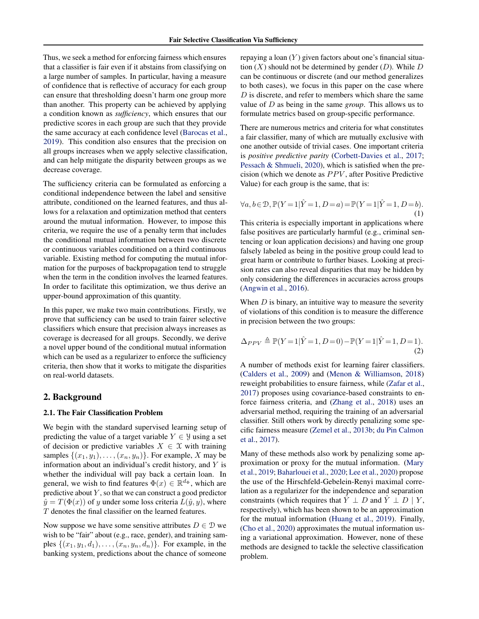Thus, we seek a method for enforcing fairness which ensures that a classifier is fair even if it abstains from classifying on a large number of samples. In particular, having a measure of confidence that is reflective of accuracy for each group can ensure that thresholding doesn't harm one group more than another. This property can be achieved by applying a condition known as *sufficiency*, which ensures that our predictive scores in each group are such that they provide the same accuracy at each confidence level [\(Barocas et al.,](#page-8-0) [2019\)](#page-8-0). This condition also ensures that the precision on all groups increases when we apply selective classification, and can help mitigate the disparity between groups as we decrease coverage.

The sufficiency criteria can be formulated as enforcing a conditional independence between the label and sensitive attribute, conditioned on the learned features, and thus allows for a relaxation and optimization method that centers around the mutual information. However, to impose this criteria, we require the use of a penalty term that includes the conditional mutual information between two discrete or continuous variables conditioned on a third continuous variable. Existing method for computing the mutual information for the purposes of backpropagation tend to struggle when the term in the condition involves the learned features. In order to facilitate this optimization, we thus derive an upper-bound approximation of this quantity.

In this paper, we make two main contributions. Firstly, we prove that sufficiency can be used to train fairer selective classifiers which ensure that precision always increases as coverage is decreased for all groups. Secondly, we derive a novel upper bound of the conditional mutual information which can be used as a regularizer to enforce the sufficiency criteria, then show that it works to mitigate the disparities on real-world datasets.

## 2. Background

### 2.1. The Fair Classification Problem

We begin with the standard supervised learning setup of predicting the value of a target variable  $Y \in \mathcal{Y}$  using a set of decision or predictive variables  $X \in \mathcal{X}$  with training samples  $\{(x_1, y_1), \ldots, (x_n, y_n)\}\$ . For example, X may be information about an individual's credit history, and Y is whether the individual will pay back a certain loan. In general, we wish to find features  $\Phi(x) \in \mathbb{R}^{d_{\Phi}}$ , which are predictive about  $Y$ , so that we can construct a good predictor  $\hat{y} = T(\Phi(x))$  of y under some loss criteria  $L(\hat{y}, y)$ , where T denotes the final classifier on the learned features.

Now suppose we have some sensitive attributes  $D \in \mathcal{D}$  we wish to be "fair" about (e.g., race, gender), and training samples  $\{(x_1, y_1, d_1), \ldots, (x_n, y_n, d_n)\}.$  For example, in the banking system, predictions about the chance of someone

repaying a loan  $(Y)$  given factors about one's financial situation  $(X)$  should not be determined by gender  $(D)$ . While D can be continuous or discrete (and our method generalizes to both cases), we focus in this paper on the case where  $D$  is discrete, and refer to members which share the same value of D as being in the same *group*. This allows us to formulate metrics based on group-specific performance.

There are numerous metrics and criteria for what constitutes a fair classifier, many of which are mutually exclusive with one another outside of trivial cases. One important criteria is *positive predictive parity* [\(Corbett-Davies et al.,](#page-8-0) [2017;](#page-8-0) [Pessach & Shmueli,](#page-9-0) [2020\)](#page-9-0), which is satisfied when the precision (which we denote as  $PPV$ , after Positive Predictive Value) for each group is the same, that is:

$$
\forall a, b \in \mathcal{D}, \mathbb{P}(Y=1|\hat{Y}=1, D=a) = \mathbb{P}(Y=1|\hat{Y}=1, D=b).
$$
\n(1)

This criteria is especially important in applications where false positives are particularly harmful (e.g., criminal sentencing or loan application decisions) and having one group falsely labeled as being in the positive group could lead to great harm or contribute to further biases. Looking at precision rates can also reveal disparities that may be hidden by only considering the differences in accuracies across groups [\(Angwin et al.,](#page-8-0) [2016\)](#page-8-0).

When  $D$  is binary, an intuitive way to measure the severity of violations of this condition is to measure the difference in precision between the two groups:

$$
\Delta_{PPV} \triangleq \mathbb{P}(Y=1|\hat{Y}=1, D=0) - \mathbb{P}(Y=1|\hat{Y}=1, D=1).
$$
\n(2)

A number of methods exist for learning fairer classifiers. [\(Calders et al.,](#page-8-0) [2009\)](#page-8-0) and [\(Menon & Williamson,](#page-9-0) [2018\)](#page-9-0) reweight probabilities to ensure fairness, while [\(Zafar et al.,](#page-10-0) [2017\)](#page-10-0) proposes using covariance-based constraints to enforce fairness criteria, and [\(Zhang et al.,](#page-10-0) [2018\)](#page-10-0) uses an adversarial method, requiring the training of an adversarial classifier. Still others work by directly penalizing some specific fairness measure [\(Zemel et al.,](#page-10-0) [2013b;](#page-10-0) [du Pin Calmon](#page-8-0) [et al.,](#page-8-0) [2017\)](#page-8-0).

Many of these methods also work by penalizing some approximation or proxy for the mutual information. [\(Mary](#page-9-0) [et al.,](#page-9-0) [2019;](#page-9-0) [Baharlouei et al.,](#page-8-0) [2020;](#page-8-0) [Lee et al.,](#page-9-0) [2020\)](#page-9-0) propose the use of the Hirschfeld-Gebelein-Renyi maximal correlation as a regularizer for the independence and separation constraints (which requires that  $\hat{Y} \perp D$  and  $\hat{Y} \perp D \mid Y$ , respectively), which has been shown to be an approximation for the mutual information [\(Huang et al.,](#page-9-0) [2019\)](#page-9-0). Finally, [\(Cho et al.,](#page-8-0) [2020\)](#page-8-0) approximates the mutual information using a variational approximation. However, none of these methods are designed to tackle the selective classification problem.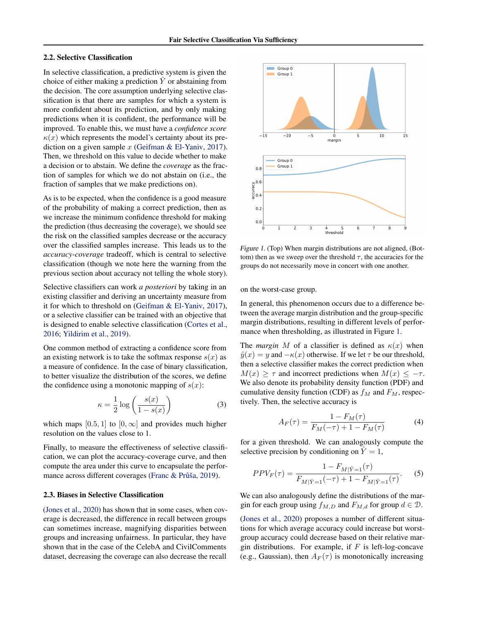### <span id="page-2-0"></span>2.2. Selective Classification

In selective classification, a predictive system is given the choice of either making a prediction  $\hat{Y}$  or abstaining from the decision. The core assumption underlying selective classification is that there are samples for which a system is more confident about its prediction, and by only making predictions when it is confident, the performance will be improved. To enable this, we must have a *confidence score*  $\kappa(x)$  which represents the model's certainty about its prediction on a given sample  $x$  [\(Geifman & El-Yaniv,](#page-8-0) [2017\)](#page-8-0). Then, we threshold on this value to decide whether to make a decision or to abstain. We define the *coverage* as the fraction of samples for which we do not abstain on (i.e., the fraction of samples that we make predictions on).

As is to be expected, when the confidence is a good measure of the probability of making a correct prediction, then as we increase the minimum confidence threshold for making the prediction (thus decreasing the coverage), we should see the risk on the classified samples decrease or the accuracy over the classified samples increase. This leads us to the *accuracy-coverage* tradeoff, which is central to selective classification (though we note here the warning from the previous section about accuracy not telling the whole story).

Selective classifiers can work *a posteriori* by taking in an existing classifier and deriving an uncertainty measure from it for which to threshold on [\(Geifman & El-Yaniv,](#page-8-0) [2017\)](#page-8-0), or a selective classifier can be trained with an objective that is designed to enable selective classification [\(Cortes et al.,](#page-8-0) [2016;](#page-8-0) [Yildirim et al.,](#page-10-0) [2019\)](#page-10-0).

One common method of extracting a confidence score from an existing network is to take the softmax response  $s(x)$  as a measure of confidence. In the case of binary classification, to better visualize the distribution of the scores, we define the confidence using a monotonic mapping of  $s(x)$ :

$$
\kappa = \frac{1}{2} \log \left( \frac{s(x)}{1 - s(x)} \right) \tag{3}
$$

which maps [0.5, 1] to [0,  $\infty$ ] and provides much higher resolution on the values close to 1.

Finally, to measure the effectiveness of selective classification, we can plot the accuracy-coverage curve, and then compute the area under this curve to encapsulate the perfor-mance across different coverages (Franc & Průša, [2019\)](#page-8-0).

#### 2.3. Biases in Selective Classification

[\(Jones et al.,](#page-9-0) [2020\)](#page-9-0) has shown that in some cases, when coverage is decreased, the difference in recall between groups can sometimes increase, magnifying disparities between groups and increasing unfairness. In particular, they have shown that in the case of the CelebA and CivilComments dataset, decreasing the coverage can also decrease the recall



Figure 1. (Top) When margin distributions are not aligned, (Bottom) then as we sweep over the threshold  $\tau$ , the accuracies for the groups do not necessarily move in concert with one another.

on the worst-case group.

In general, this phenomenon occurs due to a difference between the average margin distribution and the group-specific margin distributions, resulting in different levels of performance when thresholding, as illustrated in Figure 1.

The *margin* M of a classifier is defined as  $\kappa(x)$  when  $\hat{y}(x) = y$  and  $-\kappa(x)$  otherwise. If we let  $\tau$  be our threshold, then a selective classifier makes the correct prediction when  $M(x) \geq \tau$  and incorrect predictions when  $M(x) \leq -\tau$ . We also denote its probability density function (PDF) and cumulative density function (CDF) as  $f<sub>M</sub>$  and  $F<sub>M</sub>$ , respectively. Then, the selective accuracy is

$$
A_F(\tau) = \frac{1 - F_M(\tau)}{F_M(-\tau) + 1 - F_M(\tau)}
$$
(4)

for a given threshold. We can analogously compute the selective precision by conditioning on  $Y = 1$ ,

$$
PPV_F(\tau) = \frac{1 - F_{M|\hat{Y}=1}(\tau)}{F_{M|\hat{Y}=1}(-\tau) + 1 - F_{M|\hat{Y}=1}(\tau)}.
$$
 (5)

We can also analogously define the distributions of the margin for each group using  $f_{M,D}$  and  $F_{M,d}$  for group  $d \in \mathcal{D}$ .

[\(Jones et al.,](#page-9-0) [2020\)](#page-9-0) proposes a number of different situations for which average accuracy could increase but worstgroup accuracy could decrease based on their relative margin distributions. For example, if  $F$  is left-log-concave (e.g., Gaussian), then  $A_F(\tau)$  is monotonically increasing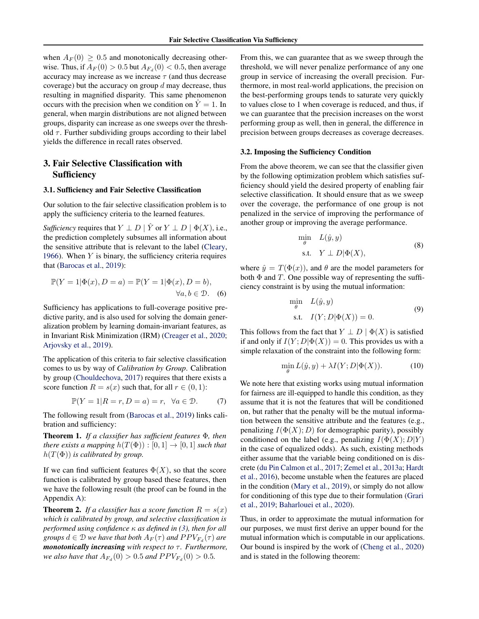when  $A_F(0) \geq 0.5$  and monotonically decreasing otherwise. Thus, if  $A_F(0) > 0.5$  but  $A_{F_d}(0) < 0.5$ , then average accuracy may increase as we increase  $\tau$  (and thus decrease coverage) but the accuracy on group  $d$  may decrease, thus resulting in magnified disparity. This same phenomenon occurs with the precision when we condition on  $\hat{Y} = 1$ . In general, when margin distributions are not aligned between groups, disparity can increase as one sweeps over the threshold  $\tau$ . Further subdividing groups according to their label yields the difference in recall rates observed.

# 3. Fair Selective Classification with Sufficiency

#### 3.1. Sufficiency and Fair Selective Classification

Our solution to the fair selective classification problem is to apply the sufficiency criteria to the learned features.

*Sufficiency* requires that  $Y \perp D \mid \hat{Y}$  or  $Y \perp D \mid \Phi(X)$ , i.e., the prediction completely subsumes all information about the sensitive attribute that is relevant to the label [\(Cleary,](#page-8-0) [1966\)](#page-8-0). When  $Y$  is binary, the sufficiency criteria requires that [\(Barocas et al.,](#page-8-0) [2019\)](#page-8-0):

$$
\mathbb{P}(Y=1|\Phi(x), D=a) = \mathbb{P}(Y=1|\Phi(x), D=b),
$$
  

$$
\forall a, b \in \mathcal{D}.
$$
 (6)

Sufficiency has applications to full-coverage positive predictive parity, and is also used for solving the domain generalization problem by learning domain-invariant features, as in Invariant Risk Minimization (IRM) [\(Creager et al.,](#page-8-0) [2020;](#page-8-0) [Arjovsky et al.,](#page-8-0) [2019\)](#page-8-0).

The application of this criteria to fair selective classification comes to us by way of *Calibration by Group*. Calibration by group [\(Chouldechova,](#page-8-0) [2017\)](#page-8-0) requires that there exists a score function  $R = s(x)$  such that, for all  $r \in (0, 1)$ :

$$
\mathbb{P}(Y=1|R=r,D=a)=r, \ \forall a \in \mathcal{D}.\tag{7}
$$

The following result from [\(Barocas et al.,](#page-8-0) [2019\)](#page-8-0) links calibration and sufficiency:

Theorem 1. *If a classifier has sufficient features* Φ*, then there exists a mapping*  $h(T(\Phi)) : [0,1] \rightarrow [0,1]$  *such that*  $h(T(\Phi))$  *is calibrated by group.* 

If we can find sufficient features  $\Phi(X)$ , so that the score function is calibrated by group based these features, then we have the following result (the proof can be found in the Appendix [A\)](#page--1-0):

**Theorem 2.** If a classifier has a score function  $R = s(x)$ *which is calibrated by group, and selective classification is performed using confidence* κ *as defined in [\(3\)](#page-2-0), then for all groups*  $d \in \mathcal{D}$  *we have that both*  $A_F(\tau)$  *and*  $PPV_{F_d}(\tau)$  *are monotonically increasing with respect to*  $τ$ *. Furthermore, we also have that*  $A_{F_d}(0) > 0.5$  *and*  $PPV_{F_d}(0) > 0.5$ *.* 

From this, we can guarantee that as we sweep through the threshold, we will never penalize performance of any one group in service of increasing the overall precision. Furthermore, in most real-world applications, the precision on the best-performing groups tends to saturate very quickly to values close to 1 when coverage is reduced, and thus, if we can guarantee that the precision increases on the worst performing group as well, then in general, the difference in precision between groups decreases as coverage decreases.

#### 3.2. Imposing the Sufficiency Condition

From the above theorem, we can see that the classifier given by the following optimization problem which satisfies sufficiency should yield the desired property of enabling fair selective classification. It should ensure that as we sweep over the coverage, the performance of one group is not penalized in the service of improving the performance of another group or improving the average performance.

$$
\min_{\theta} L(\hat{y}, y) \tag{8}
$$
  
s.t.  $Y \perp D | \Phi(X),$ 

where  $\hat{y} = T(\Phi(x))$ , and  $\theta$  are the model parameters for both  $\Phi$  and T. One possible way of representing the sufficiency constraint is by using the mutual information:

$$
\min_{\theta} L(\hat{y}, y)
$$
  
s.t.  $I(Y; D | \Phi(X)) = 0.$  (9)

This follows from the fact that  $Y \perp D \mid \Phi(X)$  is satisfied if and only if  $I(Y; D | \Phi(X)) = 0$ . This provides us with a simple relaxation of the constraint into the following form:

$$
\min_{\theta} L(\hat{y}, y) + \lambda I(Y; D | \Phi(X)). \tag{10}
$$

We note here that existing works using mutual information for fairness are ill-equipped to handle this condition, as they assume that it is not the features that will be conditioned on, but rather that the penalty will be the mutual information between the sensitive attribute and the features (e.g., penalizing  $I(\Phi(X); D)$  for demographic parity), possibly conditioned on the label (e.g., penalizing  $I(\Phi(X); D|Y)$ ) in the case of equalized odds). As such, existing methods either assume that the variable being conditioned on is discrete [\(du Pin Calmon et al.,](#page-8-0) [2017;](#page-8-0) [Zemel et al.,](#page-10-0) [2013a;](#page-10-0) [Hardt](#page-9-0) [et al.,](#page-9-0) [2016\)](#page-9-0), become unstable when the features are placed in the condition [\(Mary et al.,](#page-9-0) [2019\)](#page-9-0), or simply do not allow for conditioning of this type due to their formulation [\(Grari](#page-9-0) [et al.,](#page-9-0) [2019;](#page-9-0) [Baharlouei et al.,](#page-8-0) [2020\)](#page-8-0).

Thus, in order to approximate the mutual information for our purposes, we must first derive an upper bound for the mutual information which is computable in our applications. Our bound is inspired by the work of [\(Cheng et al.,](#page-8-0) [2020\)](#page-8-0) and is stated in the following theorem: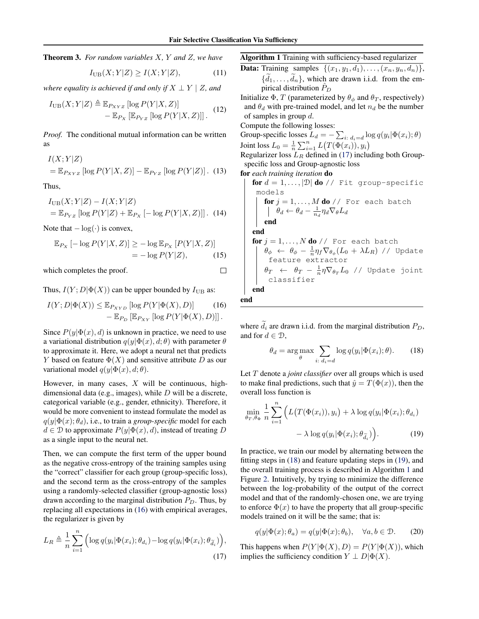Theorem 3. *For random variables* X*,* Y *and* Z*, we have*

$$
I_{\text{UB}}(X;Y|Z) \ge I(X;Y|Z),\tag{11}
$$

*where equality is achieved if and only if*  $X \perp Y \mid Z$ , and

$$
I_{\text{UB}}(X;Y|Z) \triangleq \mathbb{E}_{P_{XYZ}}[\log P(Y|X,Z)]
$$
  
-  $\mathbb{E}_{P_X}[\mathbb{E}_{P_{YZ}}[\log P(Y|X,Z)]]$ . (12)

*Proof.* The conditional mutual information can be written as

$$
I(X;Y|Z)
$$
  
=  $\mathbb{E}_{P_{XYZ}} [\log P(Y|X,Z)] - \mathbb{E}_{P_{YZ}} [\log P(Y|Z)].$  (13)

Thus,

$$
I_{\text{UB}}(X;Y|Z) - I(X;Y|Z)
$$
  
=  $\mathbb{E}_{P_{YZ}} [\log P(Y|Z) + \mathbb{E}_{P_X} [-\log P(Y|X,Z)]]$ . (14)

Note that  $-\log(\cdot)$  is convex,

$$
\mathbb{E}_{P_X} \left[ -\log P(Y|X,Z) \right] \ge -\log \mathbb{E}_{P_X} \left[ P(Y|X,Z) \right] = -\log P(Y|Z), \tag{15}
$$

which completes the proof.

Thus,  $I(Y; D | \Phi(X))$  can be upper bounded by  $I_{UB}$  as:

$$
I(Y; D|\Phi(X)) \leq \mathbb{E}_{P_{XYD}} [\log P(Y|\Phi(X), D)] \qquad (16)
$$

$$
- \mathbb{E}_{P_{D}} [\mathbb{E}_{P_{XY}} [\log P(Y|\Phi(X), D)]].
$$

Since  $P(y|\Phi(x), d)$  is unknown in practice, we need to use a variational distribution  $q(y|\Phi(x), d; \theta)$  with parameter  $\theta$ to approximate it. Here, we adopt a neural net that predicts Y based on feature  $\Phi(X)$  and sensitive attribute D as our variational model  $q(y|\Phi(x), d; \theta)$ .

However, in many cases,  $X$  will be continuous, highdimensional data (e.g., images), while  $D$  will be a discrete, categorical variable (e.g., gender, ethnicity). Therefore, it would be more convenient to instead formulate the model as  $q(y|\Phi(x); \theta_d)$ , i.e., to train a *group-specific* model for each  $d \in \mathcal{D}$  to approximate  $P(y|\Phi(x), d)$ , instead of treating D as a single input to the neural net.

Then, we can compute the first term of the upper bound as the negative cross-entropy of the training samples using the "correct" classifier for each group (group-specific loss), and the second term as the cross-entropy of the samples using a randomly-selected classifier (group-agnostic loss) drawn according to the marginal distribution  $P_D$ . Thus, by replacing all expectations in (16) with empirical averages, the regularizer is given by

$$
L_R \triangleq \frac{1}{n} \sum_{i=1}^n \left( \log q(y_i | \Phi(x_i); \theta_{d_i}) - \log q(y_i | \Phi(x_i); \theta_{\tilde{d}_i}) \right),\tag{17}
$$

Algorithm 1 Training with sufficiency-based regularizer

**Data:** Training samples  $\{(x_1, y_1, d_1), \ldots, (x_n, y_n, d_n)\},\$  $\{d_1, \ldots, d_n\}$ , which are drawn i.i.d. from the empirical distribution  $P_D$ 

Initialize  $\Phi$ , T (parameterized by  $\theta_{\phi}$  and  $\theta_{T}$ , respectively) and  $\theta_d$  with pre-trained model, and let  $n_d$  be the number of samples in group d.

Compute the following losses:

Group-specific losses  $L_d = -\sum_{i: d_i=d} \log q(y_i | \Phi(x_i); \theta)$ Joint loss  $L_0 = \frac{1}{n} \sum_{i=1}^n L(T(\Phi(x_i)), y_i)$ 

Regularizer loss  $L_R$  defined in (17) including both Groupspecific loss and Group-agnostic loss

for *each training iteration* do

```
\nfor 
$$
d = 1, \ldots, |\mathcal{D}|
$$
 do // Fit group-specific models\n\nfor  $j = 1, \ldots, M$  do // For each batch\n $\begin{vmatrix}\n\theta_d \leftarrow \theta_d - \frac{1}{n_d} \eta_d \nabla_{\theta} L_d\n\end{vmatrix}$ \nend\nfor  $j = 1, \ldots, N$  do // For each batch\n $\begin{vmatrix}\n\theta_{\phi} \leftarrow \theta_{\phi} - \frac{1}{n} \eta_f \nabla_{\theta_{\phi}} (L_0 + \lambda L_R) \n\end{vmatrix}$  (Update feature extractor)\n $\begin{vmatrix}\n\theta_T \leftarrow \theta_T - \frac{1}{n} \eta \nabla_{\theta_T} L_0 \n\end{vmatrix}$  (Update joint classifier)\nend\n
```

end

 $\Box$ 

where  $\tilde{d}_i$  are drawn i.i.d. from the marginal distribution  $P_D$ , and for  $d \in \mathcal{D}$ ,

$$
\theta_d = \arg \max_{\theta} \sum_{i: d_i = d} \log q(y_i | \Phi(x_i); \theta). \tag{18}
$$

Let T denote a *joint classifier* over all groups which is used to make final predictions, such that  $\hat{y} = T(\Phi(x))$ , then the overall loss function is

$$
\min_{\theta_T, \theta_{\Phi}} \frac{1}{n} \sum_{i=1}^n \left( L\big(T(\Phi(x_i)), y_i\big) + \lambda \log q(y_i | \Phi(x_i); \theta_{d_i}) - \lambda \log q(y_i | \Phi(x_i); \theta_{\tilde{d}_i}) \right). \tag{19}
$$

In practice, we train our model by alternating between the fitting steps in (18) and feature updating steps in (19), and the overall training process is described in Algorithm 1 and Figure [2.](#page-5-0) Intuitively, by trying to minimize the difference between the log-probability of the output of the correct model and that of the randomly-chosen one, we are trying to enforce  $\Phi(x)$  to have the property that all group-specific models trained on it will be the same; that is:

$$
q(y|\Phi(x); \theta_a) = q(y|\Phi(x); \theta_b), \quad \forall a, b \in \mathcal{D}.
$$
 (20)

This happens when  $P(Y|\Phi(X), D) = P(Y|\Phi(X))$ , which implies the sufficiency condition  $Y \perp D|\Phi(X)$ .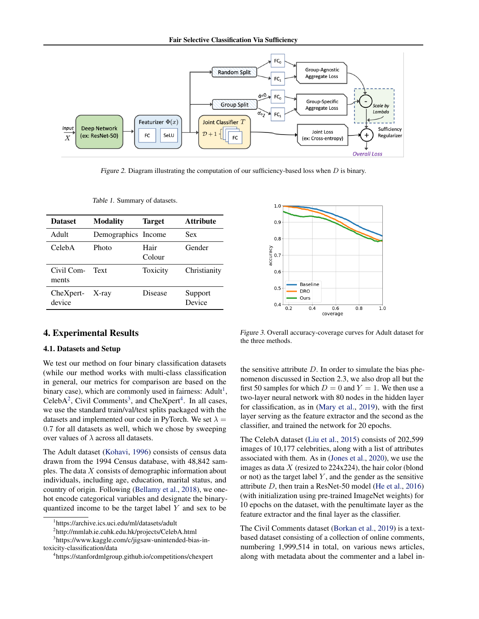Fair Selective Classification Via Sufficiency

<span id="page-5-0"></span>

Figure 2. Diagram illustrating the computation of our sufficiency-based loss when  $D$  is binary.

| <b>Dataset</b>                  | <b>Modality</b>     | <b>Target</b>  | <b>Attribute</b>  |
|---------------------------------|---------------------|----------------|-------------------|
| Adult                           | Demographics Income |                | <b>Sex</b>        |
| CelebA                          | Photo               | Hair<br>Colour | Gender            |
| Civil Com-<br>ments             | Text                | Toxicity       | Christianity      |
| $CheX$ pert- $X$ -ray<br>device |                     | Disease        | Support<br>Device |
|                                 |                     |                |                   |

Table 1. Summary of datasets.

# 4. Experimental Results

### 4.1. Datasets and Setup

We test our method on four binary classification datasets (while our method works with multi-class classification in general, our metrics for comparison are based on the binary case), which are commonly used in fairness:  $Adult<sup>1</sup>$ , CelebA<sup>2</sup>, Civil Comments<sup>3</sup>, and CheXpert<sup>4</sup>. In all cases, we use the standard train/val/test splits packaged with the datasets and implemented our code in PyTorch. We set  $\lambda =$ 0.7 for all datasets as well, which we chose by sweeping over values of  $\lambda$  across all datasets.

The Adult dataset [\(Kohavi,](#page-9-0) [1996\)](#page-9-0) consists of census data drawn from the 1994 Census database, with 48,842 samples. The data  $X$  consists of demographic information about individuals, including age, education, marital status, and country of origin. Following [\(Bellamy et al.,](#page-8-0) [2018\)](#page-8-0), we onehot encode categorical variables and designate the binaryquantized income to be the target label  $Y$  and sex to be



Figure 3. Overall accuracy-coverage curves for Adult dataset for the three methods.

the sensitive attribute  $D$ . In order to simulate the bias phenomenon discussed in Section 2.3, we also drop all but the first 50 samples for which  $D = 0$  and  $Y = 1$ . We then use a two-layer neural network with 80 nodes in the hidden layer for classification, as in [\(Mary et al.,](#page-9-0) [2019\)](#page-9-0), with the first layer serving as the feature extractor and the second as the classifier, and trained the network for 20 epochs.

The CelebA dataset [\(Liu et al.,](#page-9-0) [2015\)](#page-9-0) consists of 202,599 images of 10,177 celebrities, along with a list of attributes associated with them. As in [\(Jones et al.,](#page-9-0) [2020\)](#page-9-0), we use the images as data  $X$  (resized to 224x224), the hair color (blond or not) as the target label  $Y$ , and the gender as the sensitive attribute D, then train a ResNet-50 model [\(He et al.,](#page-9-0) [2016\)](#page-9-0) (with initialization using pre-trained ImageNet weights) for 10 epochs on the dataset, with the penultimate layer as the feature extractor and the final layer as the classifier.

The Civil Comments dataset [\(Borkan et al.,](#page-8-0) [2019\)](#page-8-0) is a textbased dataset consisting of a collection of online comments, numbering 1,999,514 in total, on various news articles, along with metadata about the commenter and a label in-

<sup>1</sup> https://archive.ics.uci.edu/ml/datasets/adult

<sup>2</sup> http://mmlab.ie.cuhk.edu.hk/projects/CelebA.html

<sup>3</sup> https://www.kaggle.com/c/jigsaw-unintended-bias-intoxicity-classification/data

<sup>4</sup> https://stanfordmlgroup.github.io/competitions/chexpert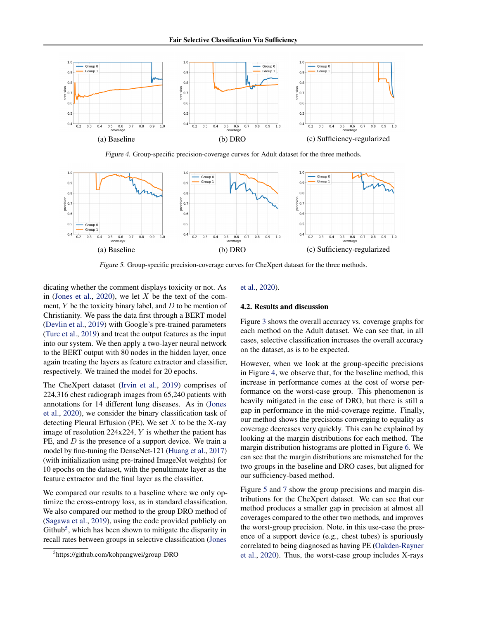

Figure 4. Group-specific precision-coverage curves for Adult dataset for the three methods.



Figure 5. Group-specific precision-coverage curves for CheXpert dataset for the three methods.

dicating whether the comment displays toxicity or not. As in [\(Jones et al.,](#page-9-0) [2020\)](#page-9-0), we let  $X$  be the text of the comment,  $Y$  be the toxicity binary label, and  $D$  to be mention of Christianity. We pass the data first through a BERT model [\(Devlin et al.,](#page-8-0) [2019\)](#page-8-0) with Google's pre-trained parameters [\(Turc et al.,](#page-10-0) [2019\)](#page-10-0) and treat the output features as the input into our system. We then apply a two-layer neural network to the BERT output with 80 nodes in the hidden layer, once again treating the layers as feature extractor and classifier, respectively. We trained the model for 20 epochs.

The CheXpert dataset [\(Irvin et al.,](#page-9-0) [2019\)](#page-9-0) comprises of 224,316 chest radiograph images from 65,240 patients with annotations for 14 different lung diseases. As in [\(Jones](#page-9-0) [et al.,](#page-9-0) [2020\)](#page-9-0), we consider the binary classification task of detecting Pleural Effusion (PE). We set  $X$  to be the X-ray image of resolution 224x224, Y is whether the patient has PE, and D is the presence of a support device. We train a model by fine-tuning the DenseNet-121 [\(Huang et al.,](#page-9-0) [2017\)](#page-9-0) (with initialization using pre-trained ImageNet weights) for 10 epochs on the dataset, with the penultimate layer as the feature extractor and the final layer as the classifier.

We compared our results to a baseline where we only optimize the cross-entropy loss, as in standard classification. We also compared our method to the group DRO method of [\(Sagawa et al.,](#page-10-0) [2019\)](#page-10-0), using the code provided publicly on Github<sup>5</sup>, which has been shown to mitigate the disparity in recall rates between groups in selective classification [\(Jones](#page-9-0)

#### [et al.,](#page-9-0) [2020\)](#page-9-0).

#### 4.2. Results and discussion

Figure [3](#page-5-0) shows the overall accuracy vs. coverage graphs for each method on the Adult dataset. We can see that, in all cases, selective classification increases the overall accuracy on the dataset, as is to be expected.

However, when we look at the group-specific precisions in Figure 4, we observe that, for the baseline method, this increase in performance comes at the cost of worse performance on the worst-case group. This phenomenon is heavily mitigated in the case of DRO, but there is still a gap in performance in the mid-coverage regime. Finally, our method shows the precisions converging to equality as coverage decreases very quickly. This can be explained by looking at the margin distributions for each method. The margin distribution histograms are plotted in Figure [6.](#page-7-0) We can see that the margin distributions are mismatched for the two groups in the baseline and DRO cases, but aligned for our sufficiency-based method.

Figure 5 and [7](#page-7-0) show the group precisions and margin distributions for the CheXpert dataset. We can see that our method produces a smaller gap in precision at almost all coverages compared to the other two methods, and improves the worst-group precision. Note, in this use-case the presence of a support device (e.g., chest tubes) is spuriously correlated to being diagnosed as having PE [\(Oakden-Rayner](#page-9-0) [et al.,](#page-9-0) [2020\)](#page-9-0). Thus, the worst-case group includes X-rays

<sup>5</sup> [https://github.com/kohpangwei/group](#page-9-0) DRO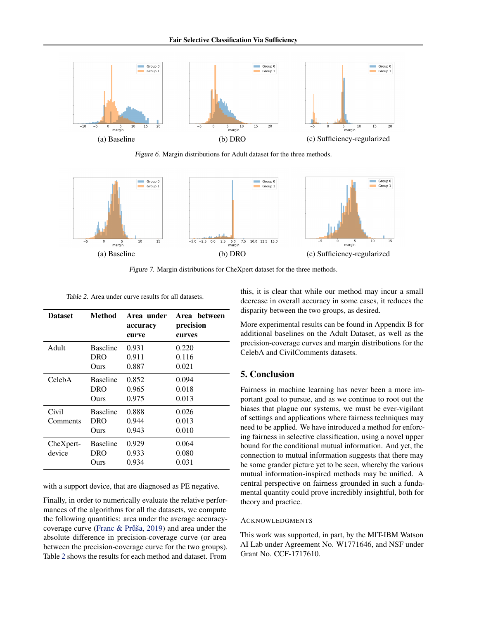<span id="page-7-0"></span>

Figure 6. Margin distributions for Adult dataset for the three methods.



Figure 7. Margin distributions for CheXpert dataset for the three methods.

Table 2. Area under curve results for all datasets.

| <b>Dataset</b> | Method          | Area under<br>accuracy<br>curve | Area between<br>precision<br>curves |
|----------------|-----------------|---------------------------------|-------------------------------------|
| Adult          | <b>Baseline</b> | 0.931                           | 0.220                               |
|                | <b>DRO</b>      | 0.911                           | 0.116                               |
|                | Ours            | 0.887                           | 0.021                               |
| CelebA         | <b>Baseline</b> | 0.852                           | 0.094                               |
|                | DRO             | 0.965                           | 0.018                               |
|                | Ours            | 0.975                           | 0.013                               |
| Civil          | <b>Baseline</b> | 0.888                           | 0.026                               |
| Comments       | <b>DRO</b>      | 0.944                           | 0.013                               |
|                | Ours            | 0.943                           | 0.010                               |
| CheXpert-      | <b>Baseline</b> | 0.929                           | 0.064                               |
| device         | DRO             | 0.933                           | 0.080                               |
|                | Ours            | 0.934                           | 0.031                               |

with a support device, that are diagnosed as PE negative.

Finally, in order to numerically evaluate the relative performances of the algorithms for all the datasets, we compute the following quantities: area under the average accuracy-coverage curve (Franc & Průša, [2019\)](#page-8-0) and area under the absolute difference in precision-coverage curve (or area between the precision-coverage curve for the two groups). Table 2 shows the results for each method and dataset. From

this, it is clear that while our method may incur a small decrease in overall accuracy in some cases, it reduces the disparity between the two groups, as desired.

More experimental results can be found in Appendix B for additional baselines on the Adult Dataset, as well as the precision-coverage curves and margin distributions for the CelebA and CivilComments datasets.

# 5. Conclusion

Fairness in machine learning has never been a more important goal to pursue, and as we continue to root out the biases that plague our systems, we must be ever-vigilant of settings and applications where fairness techniques may need to be applied. We have introduced a method for enforcing fairness in selective classification, using a novel upper bound for the conditional mutual information. And yet, the connection to mutual information suggests that there may be some grander picture yet to be seen, whereby the various mutual information-inspired methods may be unified. A central perspective on fairness grounded in such a fundamental quantity could prove incredibly insightful, both for theory and practice.

#### ACKNOWLEDGMENTS

This work was supported, in part, by the MIT-IBM Watson AI Lab under Agreement No. W1771646, and NSF under Grant No. CCF-1717610.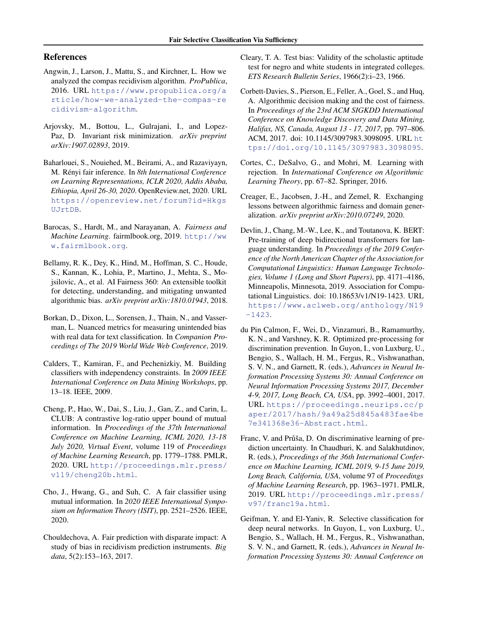# <span id="page-8-0"></span>References

- Angwin, J., Larson, J., Mattu, S., and Kirchner, L. How we analyzed the compas recidivism algorithm. *ProPublica*, 2016. URL [https://www.propublica.org/a](https://www.propublica.org/article/how-we-analyzed-the-compas-recidivism-algorithm) [rticle/how-we-analyzed-the-compas-re](https://www.propublica.org/article/how-we-analyzed-the-compas-recidivism-algorithm) [cidivism-algorithm](https://www.propublica.org/article/how-we-analyzed-the-compas-recidivism-algorithm).
- Arjovsky, M., Bottou, L., Gulrajani, I., and Lopez-Paz, D. Invariant risk minimization. *arXiv preprint arXiv:1907.02893*, 2019.
- Baharlouei, S., Nouiehed, M., Beirami, A., and Razaviyayn, M. Rényi fair inference. In 8th International Conference *on Learning Representations, ICLR 2020, Addis Ababa, Ethiopia, April 26-30, 2020*. OpenReview.net, 2020. URL [https://openreview.net/forum?id=Hkgs](https://openreview.net/forum?id=HkgsUJrtDB) [UJrtDB](https://openreview.net/forum?id=HkgsUJrtDB).
- Barocas, S., Hardt, M., and Narayanan, A. *Fairness and Machine Learning*. fairmlbook.org, 2019. [http://ww](http://www.fairmlbook.org) [w.fairmlbook.org](http://www.fairmlbook.org).
- Bellamy, R. K., Dey, K., Hind, M., Hoffman, S. C., Houde, S., Kannan, K., Lohia, P., Martino, J., Mehta, S., Mojsilovic, A., et al. AI Fairness 360: An extensible toolkit for detecting, understanding, and mitigating unwanted algorithmic bias. *arXiv preprint arXiv:1810.01943*, 2018.
- Borkan, D., Dixon, L., Sorensen, J., Thain, N., and Vasserman, L. Nuanced metrics for measuring unintended bias with real data for text classification. In *Companion Proceedings of The 2019 World Wide Web Conference*, 2019.
- Calders, T., Kamiran, F., and Pechenizkiy, M. Building classifiers with independency constraints. In *2009 IEEE International Conference on Data Mining Workshops*, pp. 13–18. IEEE, 2009.
- Cheng, P., Hao, W., Dai, S., Liu, J., Gan, Z., and Carin, L. CLUB: A contrastive log-ratio upper bound of mutual information. In *Proceedings of the 37th International Conference on Machine Learning, ICML 2020, 13-18 July 2020, Virtual Event*, volume 119 of *Proceedings of Machine Learning Research*, pp. 1779–1788. PMLR, 2020. URL [http://proceedings.mlr.press/](http://proceedings.mlr.press/v119/cheng20b.html) [v119/cheng20b.html](http://proceedings.mlr.press/v119/cheng20b.html).
- Cho, J., Hwang, G., and Suh, C. A fair classifier using mutual information. In *2020 IEEE International Symposium on Information Theory (ISIT)*, pp. 2521–2526. IEEE, 2020.
- Chouldechova, A. Fair prediction with disparate impact: A study of bias in recidivism prediction instruments. *Big data*, 5(2):153–163, 2017.
- Cleary, T. A. Test bias: Validity of the scholastic aptitude test for negro and white students in integrated colleges. *ETS Research Bulletin Series*, 1966(2):i–23, 1966.
- Corbett-Davies, S., Pierson, E., Feller, A., Goel, S., and Huq, A. Algorithmic decision making and the cost of fairness. In *Proceedings of the 23rd ACM SIGKDD International Conference on Knowledge Discovery and Data Mining, Halifax, NS, Canada, August 13 - 17, 2017*, pp. 797–806. ACM, 2017. doi: 10.1145/3097983.3098095. URL [ht](https://doi.org/10.1145/3097983.3098095) [tps://doi.org/10.1145/3097983.3098095](https://doi.org/10.1145/3097983.3098095).
- Cortes, C., DeSalvo, G., and Mohri, M. Learning with rejection. In *International Conference on Algorithmic Learning Theory*, pp. 67–82. Springer, 2016.
- Creager, E., Jacobsen, J.-H., and Zemel, R. Exchanging lessons between algorithmic fairness and domain generalization. *arXiv preprint arXiv:2010.07249*, 2020.
- Devlin, J., Chang, M.-W., Lee, K., and Toutanova, K. BERT: Pre-training of deep bidirectional transformers for language understanding. In *Proceedings of the 2019 Conference of the North American Chapter of the Association for Computational Linguistics: Human Language Technologies, Volume 1 (Long and Short Papers)*, pp. 4171–4186, Minneapolis, Minnesota, 2019. Association for Computational Linguistics. doi: 10.18653/v1/N19-1423. URL [https://www.aclweb.org/anthology/N19](https://www.aclweb.org/anthology/N19-1423) [-1423](https://www.aclweb.org/anthology/N19-1423).
- du Pin Calmon, F., Wei, D., Vinzamuri, B., Ramamurthy, K. N., and Varshney, K. R. Optimized pre-processing for discrimination prevention. In Guyon, I., von Luxburg, U., Bengio, S., Wallach, H. M., Fergus, R., Vishwanathan, S. V. N., and Garnett, R. (eds.), *Advances in Neural Information Processing Systems 30: Annual Conference on Neural Information Processing Systems 2017, December 4-9, 2017, Long Beach, CA, USA*, pp. 3992–4001, 2017. URL [https://proceedings.neurips.cc/p](https://proceedings.neurips.cc/paper/2017/hash/9a49a25d845a483fae4be7e341368e36-Abstract.html) [aper/2017/hash/9a49a25d845a483fae4be](https://proceedings.neurips.cc/paper/2017/hash/9a49a25d845a483fae4be7e341368e36-Abstract.html) [7e341368e36-Abstract.html](https://proceedings.neurips.cc/paper/2017/hash/9a49a25d845a483fae4be7e341368e36-Abstract.html).
- Franc, V. and Průša, D. On discriminative learning of prediction uncertainty. In Chaudhuri, K. and Salakhutdinov, R. (eds.), *Proceedings of the 36th International Conference on Machine Learning, ICML 2019, 9-15 June 2019, Long Beach, California, USA*, volume 97 of *Proceedings of Machine Learning Research*, pp. 1963–1971. PMLR, 2019. URL [http://proceedings.mlr.press/](http://proceedings.mlr.press/v97/franc19a.html) [v97/franc19a.html](http://proceedings.mlr.press/v97/franc19a.html).
- Geifman, Y. and El-Yaniv, R. Selective classification for deep neural networks. In Guyon, I., von Luxburg, U., Bengio, S., Wallach, H. M., Fergus, R., Vishwanathan, S. V. N., and Garnett, R. (eds.), *Advances in Neural Information Processing Systems 30: Annual Conference on*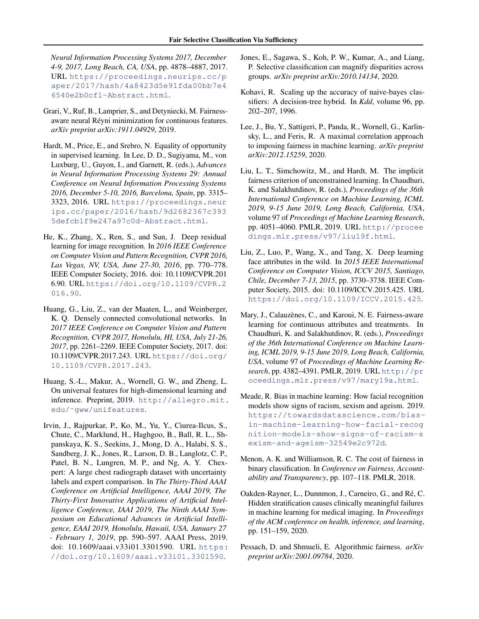<span id="page-9-0"></span>*Neural Information Processing Systems 2017, December 4-9, 2017, Long Beach, CA, USA*, pp. 4878–4887, 2017. URL [https://proceedings.neurips.cc/p](https://proceedings.neurips.cc/paper/2017/hash/4a8423d5e91fda00bb7e46540e2b0cf1-Abstract.html) [aper/2017/hash/4a8423d5e91fda00bb7e4](https://proceedings.neurips.cc/paper/2017/hash/4a8423d5e91fda00bb7e46540e2b0cf1-Abstract.html) [6540e2b0cf1-Abstract.html](https://proceedings.neurips.cc/paper/2017/hash/4a8423d5e91fda00bb7e46540e2b0cf1-Abstract.html).

- Grari, V., Ruf, B., Lamprier, S., and Detyniecki, M. Fairnessaware neural Réyni minimization for continuous features. *arXiv preprint arXiv:1911.04929*, 2019.
- Hardt, M., Price, E., and Srebro, N. Equality of opportunity in supervised learning. In Lee, D. D., Sugiyama, M., von Luxburg, U., Guyon, I., and Garnett, R. (eds.), *Advances in Neural Information Processing Systems 29: Annual Conference on Neural Information Processing Systems 2016, December 5-10, 2016, Barcelona, Spain*, pp. 3315– 3323, 2016. URL [https://proceedings.neur](https://proceedings.neurips.cc/paper/2016/hash/9d2682367c3935defcb1f9e247a97c0d-Abstract.html) [ips.cc/paper/2016/hash/9d2682367c393](https://proceedings.neurips.cc/paper/2016/hash/9d2682367c3935defcb1f9e247a97c0d-Abstract.html) [5defcb1f9e247a97c0d-Abstract.html](https://proceedings.neurips.cc/paper/2016/hash/9d2682367c3935defcb1f9e247a97c0d-Abstract.html).
- He, K., Zhang, X., Ren, S., and Sun, J. Deep residual learning for image recognition. In *2016 IEEE Conference on Computer Vision and Pattern Recognition, CVPR 2016, Las Vegas, NV, USA, June 27-30, 2016*, pp. 770–778. IEEE Computer Society, 2016. doi: 10.1109/CVPR.201 6.90. URL [https://doi.org/10.1109/CVPR.2](https://doi.org/10.1109/CVPR.2016.90) [016.90](https://doi.org/10.1109/CVPR.2016.90).
- Huang, G., Liu, Z., van der Maaten, L., and Weinberger, K. Q. Densely connected convolutional networks. In *2017 IEEE Conference on Computer Vision and Pattern Recognition, CVPR 2017, Honolulu, HI, USA, July 21-26, 2017*, pp. 2261–2269. IEEE Computer Society, 2017. doi: 10.1109/CVPR.2017.243. URL [https://doi.org/](https://doi.org/10.1109/CVPR.2017.243) [10.1109/CVPR.2017.243](https://doi.org/10.1109/CVPR.2017.243).
- Huang, S.-L., Makur, A., Wornell, G. W., and Zheng, L. On universal features for high-dimensional learning and inference. Preprint, 2019. [http://allegro.mit.](http://allegro.mit.edu/~gww/unifeatures) [edu/˜gww/unifeatures](http://allegro.mit.edu/~gww/unifeatures).
- Irvin, J., Rajpurkar, P., Ko, M., Yu, Y., Ciurea-Ilcus, S., Chute, C., Marklund, H., Haghgoo, B., Ball, R. L., Shpanskaya, K. S., Seekins, J., Mong, D. A., Halabi, S. S., Sandberg, J. K., Jones, R., Larson, D. B., Langlotz, C. P., Patel, B. N., Lungren, M. P., and Ng, A. Y. Chexpert: A large chest radiograph dataset with uncertainty labels and expert comparison. In *The Thirty-Third AAAI Conference on Artificial Intelligence, AAAI 2019, The Thirty-First Innovative Applications of Artificial Intelligence Conference, IAAI 2019, The Ninth AAAI Symposium on Educational Advances in Artificial Intelligence, EAAI 2019, Honolulu, Hawaii, USA, January 27 - February 1, 2019*, pp. 590–597. AAAI Press, 2019. doi: 10.1609/aaai.v33i01.3301590. URL [https:](https://doi.org/10.1609/aaai.v33i01.3301590) [//doi.org/10.1609/aaai.v33i01.3301590](https://doi.org/10.1609/aaai.v33i01.3301590).
- Jones, E., Sagawa, S., Koh, P. W., Kumar, A., and Liang, P. Selective classification can magnify disparities across groups. *arXiv preprint arXiv:2010.14134*, 2020.
- Kohavi, R. Scaling up the accuracy of naive-bayes classifiers: A decision-tree hybrid. In *Kdd*, volume 96, pp. 202–207, 1996.
- Lee, J., Bu, Y., Sattigeri, P., Panda, R., Wornell, G., Karlinsky, L., and Feris, R. A maximal correlation approach to imposing fairness in machine learning. *arXiv preprint arXiv:2012.15259*, 2020.
- Liu, L. T., Simchowitz, M., and Hardt, M. The implicit fairness criterion of unconstrained learning. In Chaudhuri, K. and Salakhutdinov, R. (eds.), *Proceedings of the 36th International Conference on Machine Learning, ICML 2019, 9-15 June 2019, Long Beach, California, USA*, volume 97 of *Proceedings of Machine Learning Research*, pp. 4051–4060. PMLR, 2019. URL [http://procee](http://proceedings.mlr.press/v97/liu19f.html) [dings.mlr.press/v97/liu19f.html](http://proceedings.mlr.press/v97/liu19f.html).
- Liu, Z., Luo, P., Wang, X., and Tang, X. Deep learning face attributes in the wild. In *2015 IEEE International Conference on Computer Vision, ICCV 2015, Santiago, Chile, December 7-13, 2015*, pp. 3730–3738. IEEE Computer Society, 2015. doi: 10.1109/ICCV.2015.425. URL <https://doi.org/10.1109/ICCV.2015.425>.
- Mary, J., Calauzènes, C., and Karoui, N. E. Fairness-aware learning for continuous attributes and treatments. In Chaudhuri, K. and Salakhutdinov, R. (eds.), *Proceedings of the 36th International Conference on Machine Learning, ICML 2019, 9-15 June 2019, Long Beach, California, USA*, volume 97 of *Proceedings of Machine Learning Research*, pp. 4382–4391. PMLR, 2019. URL [http://pr](http://proceedings.mlr.press/v97/mary19a.html) [oceedings.mlr.press/v97/mary19a.html](http://proceedings.mlr.press/v97/mary19a.html).
- Meade, R. Bias in machine learning: How facial recognition models show signs of racism, sexism and ageism. 2019. [https://towardsdatascience.com/bias](https://towardsdatascience.com/bias-in-machine-learning-how-facial-recognition-models-show-signs-of-racism-sexism-and-ageism-32549e2c972d)[in-machine-learning-how-facial-recog](https://towardsdatascience.com/bias-in-machine-learning-how-facial-recognition-models-show-signs-of-racism-sexism-and-ageism-32549e2c972d) [nition-models-show-signs-of-racism-s](https://towardsdatascience.com/bias-in-machine-learning-how-facial-recognition-models-show-signs-of-racism-sexism-and-ageism-32549e2c972d) [exism-and-ageism-32549e2c972d](https://towardsdatascience.com/bias-in-machine-learning-how-facial-recognition-models-show-signs-of-racism-sexism-and-ageism-32549e2c972d).
- Menon, A. K. and Williamson, R. C. The cost of fairness in binary classification. In *Conference on Fairness, Accountability and Transparency*, pp. 107–118. PMLR, 2018.
- Oakden-Rayner, L., Dunnmon, J., Carneiro, G., and Ré, C. Hidden stratification causes clinically meaningful failures in machine learning for medical imaging. In *Proceedings of the ACM conference on health, inference, and learning*, pp. 151–159, 2020.
- Pessach, D. and Shmueli, E. Algorithmic fairness. *arXiv preprint arXiv:2001.09784*, 2020.